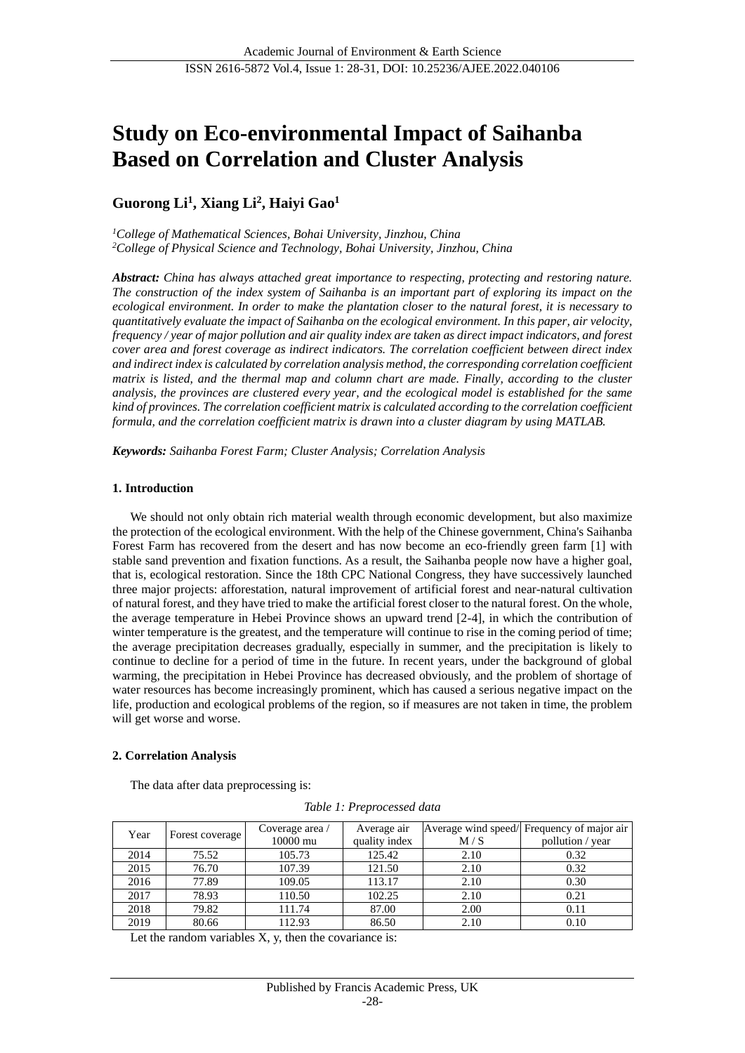# **Study on Eco-environmental Impact of Saihanba Based on Correlation and Cluster Analysis**

# **Guorong Li<sup>1</sup> , Xiang Li<sup>2</sup> , Haiyi Gao<sup>1</sup>**

*<sup>1</sup>College of Mathematical Sciences, Bohai University, Jinzhou, China <sup>2</sup>College of Physical Science and Technology, Bohai University, Jinzhou, China*

*Abstract: China has always attached great importance to respecting, protecting and restoring nature. The construction of the index system of Saihanba is an important part of exploring its impact on the ecological environment. In order to make the plantation closer to the natural forest, it is necessary to quantitatively evaluate the impact of Saihanba on the ecological environment. In this paper, air velocity, frequency / year of major pollution and air quality index are taken as direct impact indicators, and forest cover area and forest coverage as indirect indicators. The correlation coefficient between direct index and indirect index is calculated by correlation analysis method, the corresponding correlation coefficient matrix is listed, and the thermal map and column chart are made. Finally, according to the cluster analysis, the provinces are clustered every year, and the ecological model is established for the same kind of provinces. The correlation coefficient matrix is calculated according to the correlation coefficient formula, and the correlation coefficient matrix is drawn into a cluster diagram by using MATLAB.*

*Keywords: Saihanba Forest Farm; Cluster Analysis; Correlation Analysis*

# **1. Introduction**

We should not only obtain rich material wealth through economic development, but also maximize the protection of the ecological environment. With the help of the Chinese government, China's Saihanba Forest Farm has recovered from the desert and has now become an eco-friendly green farm [1] with stable sand prevention and fixation functions. As a result, the Saihanba people now have a higher goal, that is, ecological restoration. Since the 18th CPC National Congress, they have successively launched three major projects: afforestation, natural improvement of artificial forest and near-natural cultivation of natural forest, and they have tried to make the artificial forest closer to the natural forest. On the whole, the average temperature in Hebei Province shows an upward trend [2-4], in which the contribution of winter temperature is the greatest, and the temperature will continue to rise in the coming period of time; the average precipitation decreases gradually, especially in summer, and the precipitation is likely to continue to decline for a period of time in the future. In recent years, under the background of global warming, the precipitation in Hebei Province has decreased obviously, and the problem of shortage of water resources has become increasingly prominent, which has caused a serious negative impact on the life, production and ecological problems of the region, so if measures are not taken in time, the problem will get worse and worse.

# **2. Correlation Analysis**

The data after data preprocessing is:

*Table 1: Preprocessed data*

| Year | Forest coverage | Coverage area / | Average air   |      | Average wind speed/ Frequency of major air |
|------|-----------------|-----------------|---------------|------|--------------------------------------------|
|      |                 | 10000 mu        | quality index | M/S  | pollution / year                           |
| 2014 | 75.52           | 105.73          | 125.42        | 2.10 | 0.32                                       |
| 2015 | 76.70           | 107.39          | 121.50        | 2.10 | 0.32                                       |
| 2016 | 77.89           | 109.05          | 113.17        | 2.10 | 0.30                                       |
| 2017 | 78.93           | 110.50          | 102.25        | 2.10 | 0.21                                       |
| 2018 | 79.82           | 111.74          | 87.00         | 2.00 | 0.11                                       |
| 2019 | 80.66           | 112.93          | 86.50         | 2.10 | 0.10                                       |

Let the random variables  $X$ ,  $y$ , then the covariance is: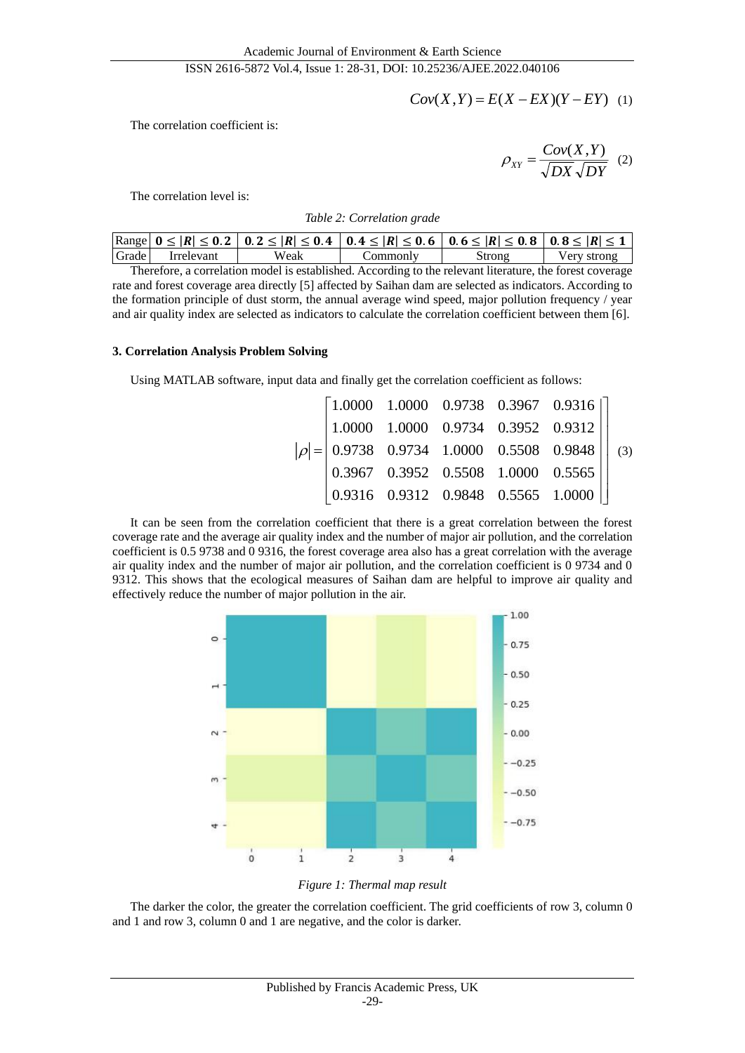$$
Cov(X, Y) = E(X - EX)(Y - EY) \quad (1)
$$

The correlation coefficient is:

*DX DY*  $Cov(X, Y)$ *XY*  $(X, Y)$  $\rho_{XY} = \frac{367(11.4)}{\sqrt{2}}$  (2)

The correlation level is:

### *Table 2: Correlation grade*

|       |            |      |         | $\text{Range}$ 0 ≤  R  ≤ 0.2   0.2 ≤  R  ≤ 0.4   0.4 ≤  R  ≤ 0.6   0.6 ≤  R  ≤ 0.8   0.8 ≤  R  ≤ 1 |             |
|-------|------------|------|---------|----------------------------------------------------------------------------------------------------|-------------|
| Grade | Irrelevant | Weak | ommontv | Strong                                                                                             | Verv strong |

Therefore, a correlation model is established. According to the relevant literature, the forest coverage rate and forest coverage area directly [5] affected by Saihan dam are selected as indicators. According to the formation principle of dust storm, the annual average wind speed, major pollution frequency / year and air quality index are selected as indicators to calculate the correlation coefficient between them [6].

# **3. Correlation Analysis Problem Solving**

Using MATLAB software, input data and finally get the correlation coefficient as follows:

| $\begin{array}{c cccc} \begin{array}{c cccc} 1.0000 & 1.0000 & 0.9734 & 0.3952 & 0.9312 \\ 0.9738 & 0.9734 & 1.0000 & 0.5508 & 0.9848 \\ 0.3967 & 0.3952 & 0.5508 & 1.0000 & 0.5565 \end{array} \end{array}$ |                                                               |  | $\begin{bmatrix} 1.0000 & 1.0000 & 0.9738 & 0.3967 & 0.9316 \end{bmatrix}$ |  |
|--------------------------------------------------------------------------------------------------------------------------------------------------------------------------------------------------------------|---------------------------------------------------------------|--|----------------------------------------------------------------------------|--|
|                                                                                                                                                                                                              |                                                               |  |                                                                            |  |
|                                                                                                                                                                                                              |                                                               |  |                                                                            |  |
|                                                                                                                                                                                                              |                                                               |  |                                                                            |  |
|                                                                                                                                                                                                              | $(0.9316 \quad 0.9312 \quad 0.9848 \quad 0.5565 \quad 1.0000$ |  |                                                                            |  |

It can be seen from the correlation coefficient that there is a great correlation between the forest coverage rate and the average air quality index and the number of major air pollution, and the correlation coefficient is 0.5 9738 and 0 9316, the forest coverage area also has a great correlation with the average air quality index and the number of major air pollution, and the correlation coefficient is 0 9734 and 0 9312. This shows that the ecological measures of Saihan dam are helpful to improve air quality and effectively reduce the number of major pollution in the air.



*Figure 1: Thermal map result*

The darker the color, the greater the correlation coefficient. The grid coefficients of row 3, column 0 and 1 and row 3, column 0 and 1 are negative, and the color is darker.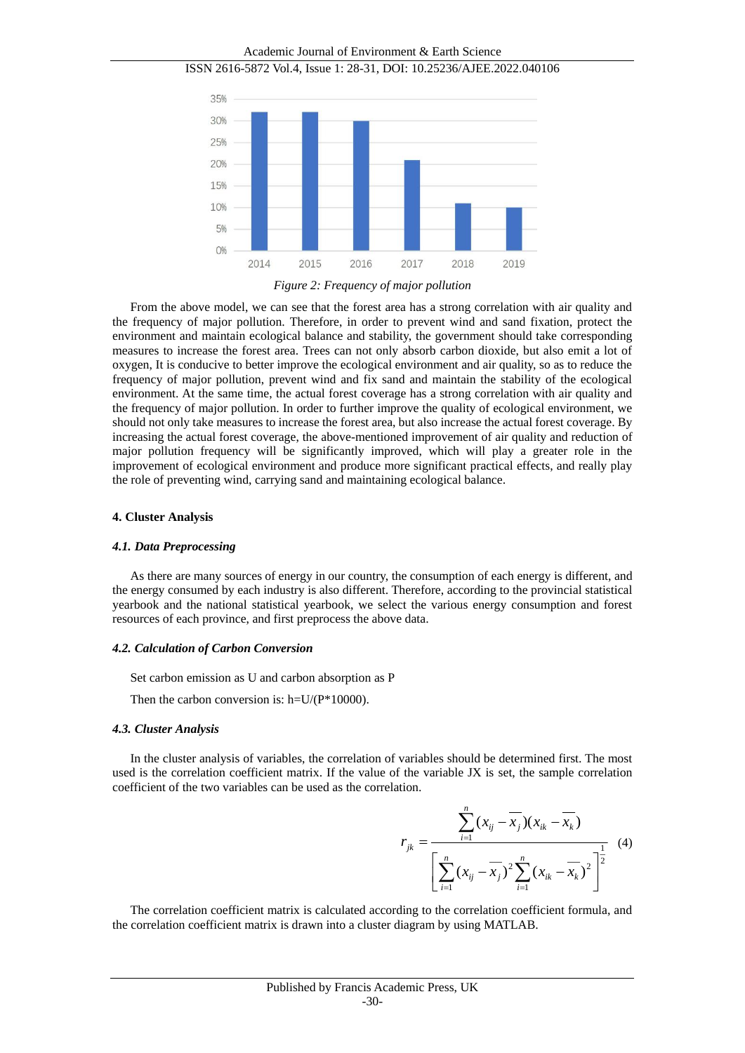Academic Journal of Environment & Earth Science ISSN 2616-5872 Vol.4, Issue 1: 28-31, DOI: 10.25236/AJEE.2022.040106 35% 30% 25% 20% 1.5% 10% 5% O% 2015 2014 2016 2017 2018 2019 *Figure 2: Frequency of major pollution*

From the above model, we can see that the forest area has a strong correlation with air quality and the frequency of major pollution. Therefore, in order to prevent wind and sand fixation, protect the environment and maintain ecological balance and stability, the government should take corresponding measures to increase the forest area. Trees can not only absorb carbon dioxide, but also emit a lot of oxygen, It is conducive to better improve the ecological environment and air quality, so as to reduce the frequency of major pollution, prevent wind and fix sand and maintain the stability of the ecological environment. At the same time, the actual forest coverage has a strong correlation with air quality and the frequency of major pollution. In order to further improve the quality of ecological environment, we should not only take measures to increase the forest area, but also increase the actual forest coverage. By increasing the actual forest coverage, the above-mentioned improvement of air quality and reduction of major pollution frequency will be significantly improved, which will play a greater role in the improvement of ecological environment and produce more significant practical effects, and really play the role of preventing wind, carrying sand and maintaining ecological balance.

#### **4. Cluster Analysis**

#### *4.1. Data Preprocessing*

As there are many sources of energy in our country, the consumption of each energy is different, and the energy consumed by each industry is also different. Therefore, according to the provincial statistical yearbook and the national statistical yearbook, we select the various energy consumption and forest resources of each province, and first preprocess the above data.

#### *4.2. Calculation of Carbon Conversion*

Set carbon emission as U and carbon absorption as P

Then the carbon conversion is:  $h=U/(P*10000)$ .

#### *4.3. Cluster Analysis*

In the cluster analysis of variables, the correlation of variables should be determined first. The most used is the correlation coefficient matrix. If the value of the variable JX is set, the sample correlation coefficient of the two variables can be used as the correlation.

$$
r_{jk} = \frac{\sum_{i=1}^{n} (x_{ij} - \overline{x}_j)(x_{ik} - \overline{x}_k)}{\left[\sum_{i=1}^{n} (x_{ij} - \overline{x}_j)^2 \sum_{i=1}^{n} (x_{ik} - \overline{x}_k)^2\right]^{\frac{1}{2}}}
$$
(4)

The correlation coefficient matrix is calculated according to the correlation coefficient formula, and the correlation coefficient matrix is drawn into a cluster diagram by using MATLAB.